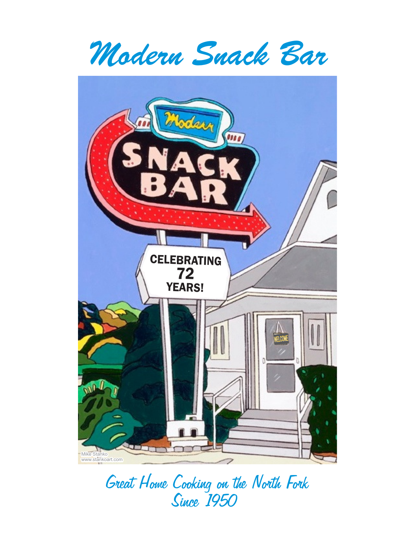*Modern Snack Bar*



*Great Home Cooking on the North Fork Since 1950 1 50*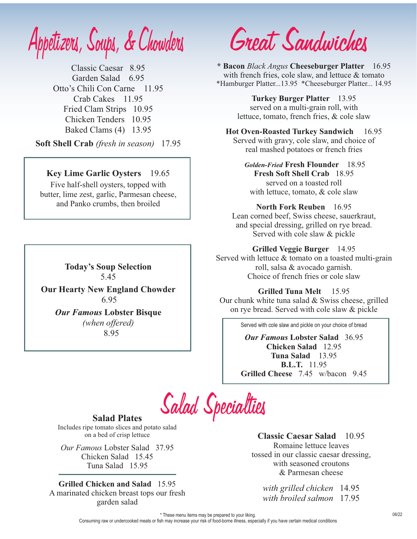*Appetizers, Soups, & Chowders*

Classic Caesar 8.95 Garden Salad 6.95 Otto's Chili Con Carne 11.95 Crab Cakes 11.95 Fried Clam Strips 10.95 Chicken Tenders 10.95 Baked Clams (4) 13.95

**Soft Shell Crab** *(fresh in season)* 17.95

#### **Key Lime Garlic Oysters** 19.65

Five half-shell oysters, topped with butter, lime zest, garlic, Parmesan cheese, and Panko crumbs, then broiled

> **Today's Soup Selection** 5.45

**Our Hearty New England Chowder** 6.95

*Our Famous* **Lobster Bisque** *(when offered)* 8.95

*Great Sandwiches*

\*Hamburger Platter...13.95 \*Cheeseburger Platter... 14.95 **\* Bacon** *Black Angus* **Cheeseburger Platter** 16.95 with french fries, cole slaw, and lettuce & tomato

> **Turkey Burger Platter** 13.95 served on a multi-grain roll, with lettuce, tomato, french fries, & cole slaw

# **Hot Oven-Roasted Turkey Sandwich** 16.95

real mashed potatoes or french fries Served with gravy, cole slaw, and choice of

**Fresh Soft Shell Crab** 18.95 served on a toasted roll with lettuce, tomato, & cole slaw *Golden-Fried* **Fresh Flounder** 18.95

#### **North Fork Reuben** 16.95

Lean corned beef, Swiss cheese, sauerkraut, and special dressing, grilled on rye bread. Served with cole slaw & pickle

#### **Grilled Veggie Burger** 14.95

Served with lettuce & tomato on a toasted multi-grain roll, salsa & avocado garnish. Choice of french fries or cole slaw

#### Our chunk white tuna salad & Swiss cheese, grilled on rye bread. Served with cole slaw & pickle **Grilled Tuna Melt** 15.95

Served with cole slaw and pickle on your choice of bread

**Chicken Salad** 12.95 **Grilled Cheese** 7.45 w/bacon 9.45 *Our Famous* **Lobster Salad** 36.95 **B.L.T.** 11.95 **Tuna Salad** 13.95

*Salad Specialties*

#### **Salad Plates**

Includes ripe tomato slices and potato salad on a bed of crisp lettuce

*Our Famous* Lobster Salad 37.95 Tuna Salad 15.95 Chicken Salad 15.45

A marinated chicken breast tops our fresh garden salad **Grilled Chicken and Salad** 15.95 *with grilled chicken* 14.95

& Parmesan cheese **Classic Caesar Salad** 10.95 Romaine lettuce leaves tossed in our classic caesar dressing, with seasoned croutons

*with broiled salmon* 17.95

\* These menu items may be prepared to your liking.

Consuming raw or undercooked meats or fish may increase your risk of food-borne illness, especially if you have certain medical conditions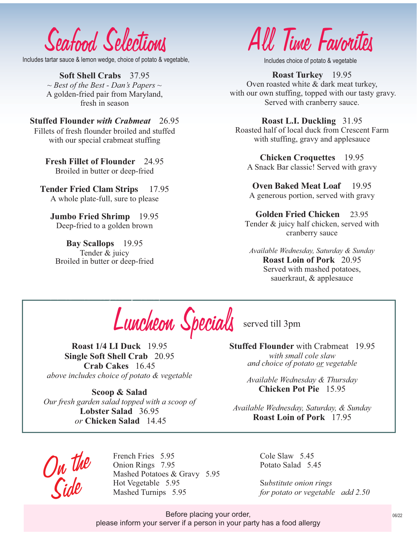*Seafood Selections*

Includes tartar sauce & lemon wedge, choice of potato & vegetable,

**Soft Shell Crabs** 37.95 A golden-fried pair from Maryland, fresh in season *~ Best of the Best - Dan's Papers ~*

**Stuffed Flounder** *with Crabmeat*26.95 Fillets of fresh flounder broiled and stuffed with our special crabmeat stuffing

> **Fresh Fillet of Flounder** 24.95 Broiled in butter or deep-fried

A whole plate-full, sure to please **Tender Fried Clam Strips** 17.95

**Jumbo Fried Shrimp** 19.95 Deep-fried to a golden brown

**Bay Scallops** 19.95 Tender & juicy Broiled in butter or deep-fried

broiled in our zesty scampi butter,

*All Time Favorites*

Includes choice of potato & vegetable

**Roast Turkey** 19.95 Oven roasted white & dark meat turkey, with our own stuffing, topped with our tasty gravy. Served with cranberry sauce.

**Roast L.I. Duckling** 31.95 Roasted half of local duck from Crescent Farm with stuffing, gravy and applesauce

A Snack Bar classic! Served with gravy **Chicken Croquettes** 19.95

**Oven Baked Meat Loaf** 19.95 A generous portion, served with gravy

**Golden Fried Chicken** 23.95 Tender & juicy half chicken, served with cranberry sauce

**Roast Loin of Pork** 20.95 Served with mashed potatoes, sauerkraut, & applesauce *Available Wednesday, Saturday & Sunday*

**Broiled Salmon Fillet** 17.95 Full of flavor topped with dill butter Luncheon Specials served till 3pm

**Single Soft Shell Crab** 20.95 **Roast 1/4 LI Duck** 19.95 **Crab Cakes** 16.45 *above includes choice of potato & vegetable*

*Our fresh garden salad topped with a scoop of*  **Scoop & Salad Lobster Salad** 36.95  *or* **Chicken Salad** 14.45

**Stuffed Flounder** with Crabmeat 19.95 *with small cole slaw and choice of potato or vegetable*

> *Available Wednesday & Thursday* **Chicken Pot Pie** 15.95

*Available Wednesday, Saturday, & Sunday* **Roast Loin of Pork**17.95

*On the Side*

Onion Rings 7.95 French Fries 5.95 Hot Vegetable 5.95 Mashed Potatoes & Gravy 5.95

Potato Salad 5.45 Cole Slaw 5.45

S*ubstitute onion rings*  Mashed Turnips 5.95 *for potato or vegetable add 2.50*

Before placing your order, and the contract of the contract of the contract of the contract of the contract of the contract of the contract of the contract of the contract of the contract of the contract of the contract of please inform your server if a person in your party has a food allergy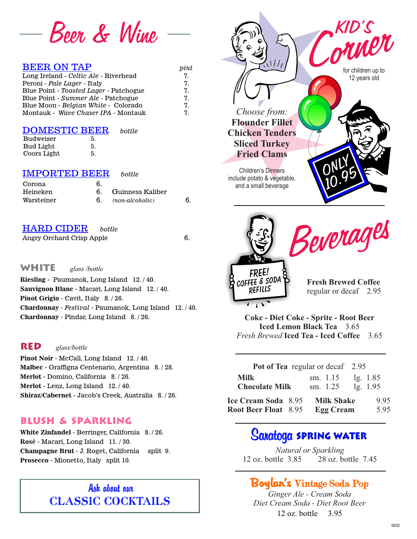

| <b>BEER ON TAP</b>                     | pi |
|----------------------------------------|----|
| Long Ireland - Celtic Ale - Riverhead  | 7. |
| Peroni - Pale Lager - Italy            | 7. |
| Blue Point - Toasted Lager - Patchogue | 7. |
| Blue Point - Summer Ale - Patchogue    | 7. |
| Blue Moon - Belgian White - Colorado   | 7. |
| Montauk - Wave Chaser IPA - Montauk    | 7. |
|                                        |    |

| <b>DOMESTIC BEER</b> |    | bottle |
|----------------------|----|--------|
| <b>Budweiser</b>     | 5. |        |
| Bud Light            | 5. |        |
| Coors Light          | 5. |        |

#### IMPORTED BEER*bottle*

| Corona     | 6. |                  |  |
|------------|----|------------------|--|
| Heineken   |    | Guinness Kaliber |  |
| Warsteiner |    | (non-alcoholic)  |  |

#### HARD CIDER *bottle*

Angry Orchard Crisp Apple 6.

**WHITE** *glass /bottle* 

**Sauvignon Blanc** - Macari, Long Island 12. / 40. **Riesling** - Paumanok, Long Island 12. / 40. **Pinot Grigio** - Cavit, Italy 8. / 26. **Chardonnay** - *Festival* - Paumanok, Long Island 12. / 40. **Chardonnay** - Pindar, Long Island 8. / 26.

### **Red** *glass/bottle*

**Malbec** - Graffigna Centenario, Argentina 8. / 28. **Merlot** - Domino, California 8. / 26. **Merlot** - Lenz, Long Island 12. / 40. **Pinot Noir** - McCall, Long Island 12. / 40. **Shiraz/Cabernet** - Jacob's Creek, Australia 8. / 26.

#### **Blush & Sparkling**

**Champagne Brut** - J. Roget, California split 9. **White Zinfandel** - Berringer, California 8. / 26. **Prosecco** - Mionetto, Italy split 10. **Rosé** - Macari, Long Island 11. / 30.

# Ask about our CLASSIC COCKTAILS



| <b>Iced Lemon Black Tea</b> 3.65                |  |
|-------------------------------------------------|--|
| <i>Fresh Brewed</i> Iced Tea - Iced Coffee 3.65 |  |
|                                                 |  |

| Pot of Tea regular or decaf 2.95     |  |                                 |          |  |
|--------------------------------------|--|---------------------------------|----------|--|
| <b>Milk</b><br><b>Chocolate Milk</b> |  | sm. $1.15$<br>sm. 1.25 lg. 1.95 | lg. 1.85 |  |
| Ice Cream Soda 8.95                  |  | <b>Milk Shake</b>               | 995      |  |
| <b>Root Beer Float</b> 8.95          |  | <b>Egg Cream</b>                | 5.95     |  |

# **Saratoga Spring Water**

12 oz. bottle 3.85 28 oz. bottle 7.45 *Natural or Sparkling*

# Boylan's Vintage Soda Pop

12 oz. bottle 3.95 *Ginger Ale - Cream Soda Diet Cream Soda - Diet Root Beer*